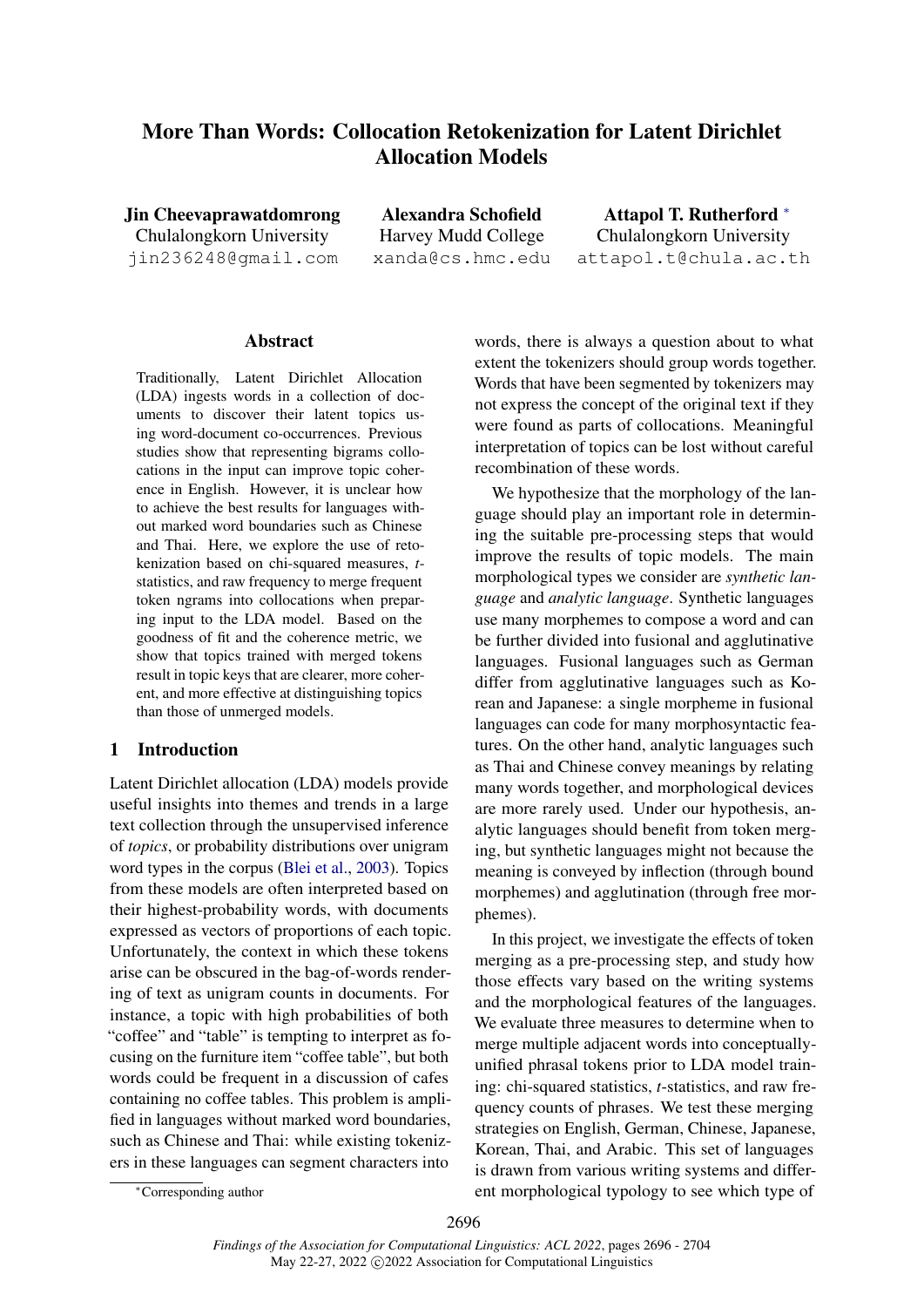# <span id="page-0-0"></span>More Than Words: Collocation Retokenization for Latent Dirichlet Allocation Models

Jin Cheevaprawatdomrong Chulalongkorn University jin236248@gmail.com

Alexandra Schofield Harvey Mudd College xanda@cs.hmc.edu

Attapol T. Rutherford [∗](#page-0-0) Chulalongkorn University attapol.t@chula.ac.th

# **Abstract**

Traditionally, Latent Dirichlet Allocation (LDA) ingests words in a collection of documents to discover their latent topics using word-document co-occurrences. Previous studies show that representing bigrams collocations in the input can improve topic coherence in English. However, it is unclear how to achieve the best results for languages without marked word boundaries such as Chinese and Thai. Here, we explore the use of retokenization based on chi-squared measures, *t*statistics, and raw frequency to merge frequent token ngrams into collocations when preparing input to the LDA model. Based on the goodness of fit and the coherence metric, we show that topics trained with merged tokens result in topic keys that are clearer, more coherent, and more effective at distinguishing topics than those of unmerged models.

#### 1 Introduction

Latent Dirichlet allocation (LDA) models provide useful insights into themes and trends in a large text collection through the unsupervised inference of *topics*, or probability distributions over unigram word types in the corpus [\(Blei et al.,](#page-7-0) [2003\)](#page-7-0). Topics from these models are often interpreted based on their highest-probability words, with documents expressed as vectors of proportions of each topic. Unfortunately, the context in which these tokens arise can be obscured in the bag-of-words rendering of text as unigram counts in documents. For instance, a topic with high probabilities of both "coffee" and "table" is tempting to interpret as focusing on the furniture item "coffee table", but both words could be frequent in a discussion of cafes containing no coffee tables. This problem is amplified in languages without marked word boundaries, such as Chinese and Thai: while existing tokenizers in these languages can segment characters into

words, there is always a question about to what extent the tokenizers should group words together. Words that have been segmented by tokenizers may not express the concept of the original text if they were found as parts of collocations. Meaningful interpretation of topics can be lost without careful recombination of these words.

We hypothesize that the morphology of the language should play an important role in determining the suitable pre-processing steps that would improve the results of topic models. The main morphological types we consider are *synthetic language* and *analytic language*. Synthetic languages use many morphemes to compose a word and can be further divided into fusional and agglutinative languages. Fusional languages such as German differ from agglutinative languages such as Korean and Japanese: a single morpheme in fusional languages can code for many morphosyntactic features. On the other hand, analytic languages such as Thai and Chinese convey meanings by relating many words together, and morphological devices are more rarely used. Under our hypothesis, analytic languages should benefit from token merging, but synthetic languages might not because the meaning is conveyed by inflection (through bound morphemes) and agglutination (through free morphemes).

In this project, we investigate the effects of token merging as a pre-processing step, and study how those effects vary based on the writing systems and the morphological features of the languages. We evaluate three measures to determine when to merge multiple adjacent words into conceptuallyunified phrasal tokens prior to LDA model training: chi-squared statistics, *t*-statistics, and raw frequency counts of phrases. We test these merging strategies on English, German, Chinese, Japanese, Korean, Thai, and Arabic. This set of languages is drawn from various writing systems and different morphological typology to see which type of

<sup>∗</sup>Corresponding author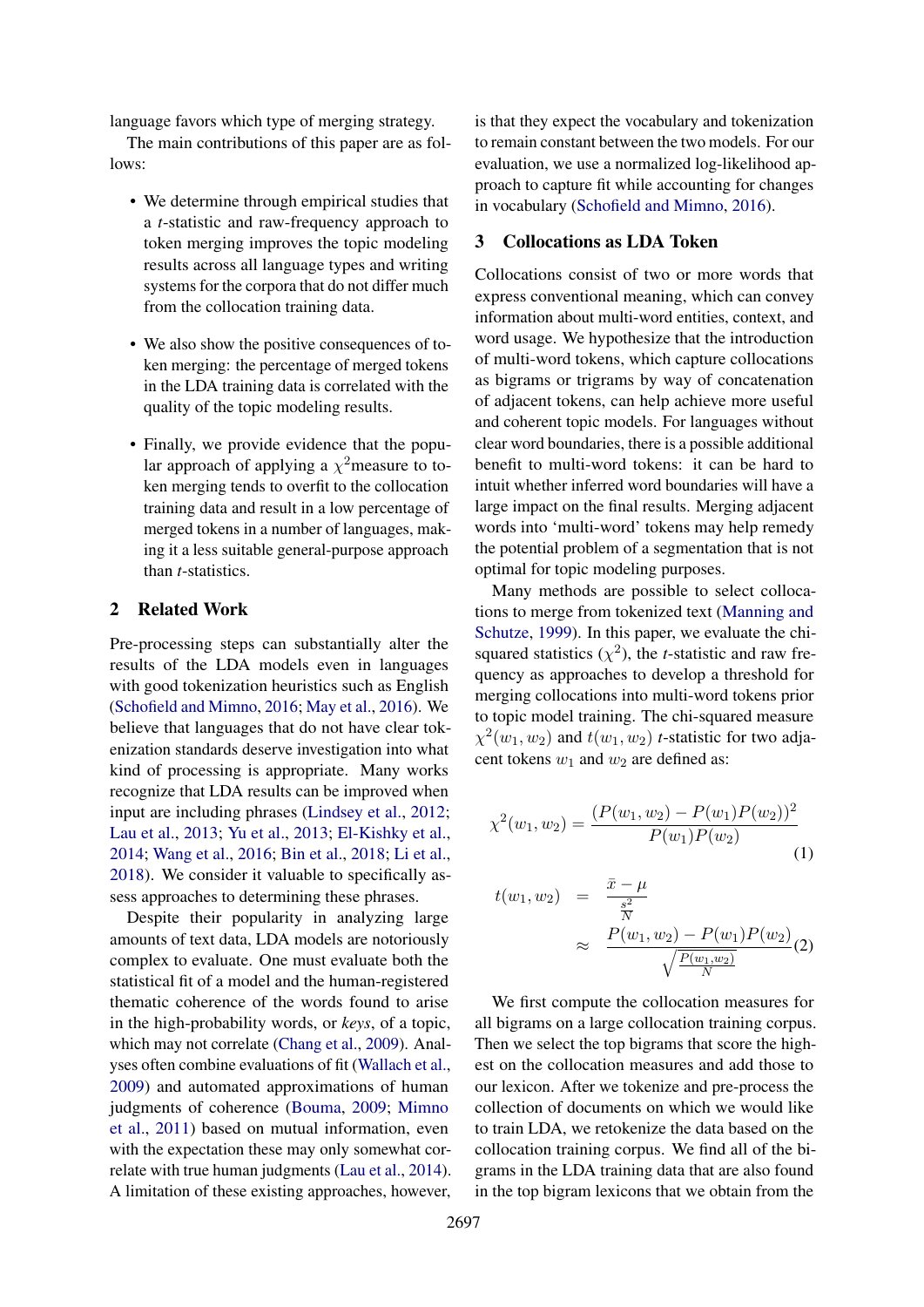language favors which type of merging strategy.

The main contributions of this paper are as follows:

- We determine through empirical studies that a *t*-statistic and raw-frequency approach to token merging improves the topic modeling results across all language types and writing systems for the corpora that do not differ much from the collocation training data.
- We also show the positive consequences of token merging: the percentage of merged tokens in the LDA training data is correlated with the quality of the topic modeling results.
- Finally, we provide evidence that the popular approach of applying a  $\chi^2$ measure to token merging tends to overfit to the collocation training data and result in a low percentage of merged tokens in a number of languages, making it a less suitable general-purpose approach than *t*-statistics.

# 2 Related Work

Pre-processing steps can substantially alter the results of the LDA models even in languages with good tokenization heuristics such as English [\(Schofield and Mimno,](#page-8-0) [2016;](#page-8-0) [May et al.,](#page-8-1) [2016\)](#page-8-1). We believe that languages that do not have clear tokenization standards deserve investigation into what kind of processing is appropriate. Many works recognize that LDA results can be improved when input are including phrases [\(Lindsey et al.,](#page-8-2) [2012;](#page-8-2) [Lau et al.,](#page-8-3) [2013;](#page-8-3) [Yu et al.,](#page-8-4) [2013;](#page-8-4) [El-Kishky et al.,](#page-7-1) [2014;](#page-7-1) [Wang et al.,](#page-8-5) [2016;](#page-8-5) [Bin et al.,](#page-7-2) [2018;](#page-7-2) [Li et al.,](#page-8-6) [2018\)](#page-8-6). We consider it valuable to specifically assess approaches to determining these phrases.

Despite their popularity in analyzing large amounts of text data, LDA models are notoriously complex to evaluate. One must evaluate both the statistical fit of a model and the human-registered thematic coherence of the words found to arise in the high-probability words, or *keys*, of a topic, which may not correlate [\(Chang et al.,](#page-7-3) [2009\)](#page-7-3). Analyses often combine evaluations of fit [\(Wallach et al.,](#page-8-7) [2009\)](#page-8-7) and automated approximations of human judgments of coherence [\(Bouma,](#page-7-4) [2009;](#page-7-4) [Mimno](#page-8-8) [et al.,](#page-8-8) [2011\)](#page-8-8) based on mutual information, even with the expectation these may only somewhat correlate with true human judgments [\(Lau et al.,](#page-8-9) [2014\)](#page-8-9). A limitation of these existing approaches, however,

is that they expect the vocabulary and tokenization to remain constant between the two models. For our evaluation, we use a normalized log-likelihood approach to capture fit while accounting for changes in vocabulary [\(Schofield and Mimno,](#page-8-0) [2016\)](#page-8-0).

# 3 Collocations as LDA Token

Collocations consist of two or more words that express conventional meaning, which can convey information about multi-word entities, context, and word usage. We hypothesize that the introduction of multi-word tokens, which capture collocations as bigrams or trigrams by way of concatenation of adjacent tokens, can help achieve more useful and coherent topic models. For languages without clear word boundaries, there is a possible additional benefit to multi-word tokens: it can be hard to intuit whether inferred word boundaries will have a large impact on the final results. Merging adjacent words into 'multi-word' tokens may help remedy the potential problem of a segmentation that is not optimal for topic modeling purposes.

Many methods are possible to select collocations to merge from tokenized text [\(Manning and](#page-8-10) [Schutze,](#page-8-10) [1999\)](#page-8-10). In this paper, we evaluate the chisquared statistics  $(\chi^2)$ , the *t*-statistic and raw frequency as approaches to develop a threshold for merging collocations into multi-word tokens prior to topic model training. The chi-squared measure  $\chi^2(w_1, w_2)$  and  $t(w_1, w_2)$  *t*-statistic for two adjacent tokens  $w_1$  and  $w_2$  are defined as:

$$
\chi^{2}(w_{1}, w_{2}) = \frac{(P(w_{1}, w_{2}) - P(w_{1})P(w_{2}))^{2}}{P(w_{1})P(w_{2})}
$$
\n(1)

$$
t(w_1, w_2) = \frac{\bar{x} - \mu}{\frac{s^2}{N}} \approx \frac{P(w_1, w_2) - P(w_1)P(w_2)}{\sqrt{\frac{P(w_1, w_2)}{N}}}(2)
$$

We first compute the collocation measures for all bigrams on a large collocation training corpus. Then we select the top bigrams that score the highest on the collocation measures and add those to our lexicon. After we tokenize and pre-process the collection of documents on which we would like to train LDA, we retokenize the data based on the collocation training corpus. We find all of the bigrams in the LDA training data that are also found in the top bigram lexicons that we obtain from the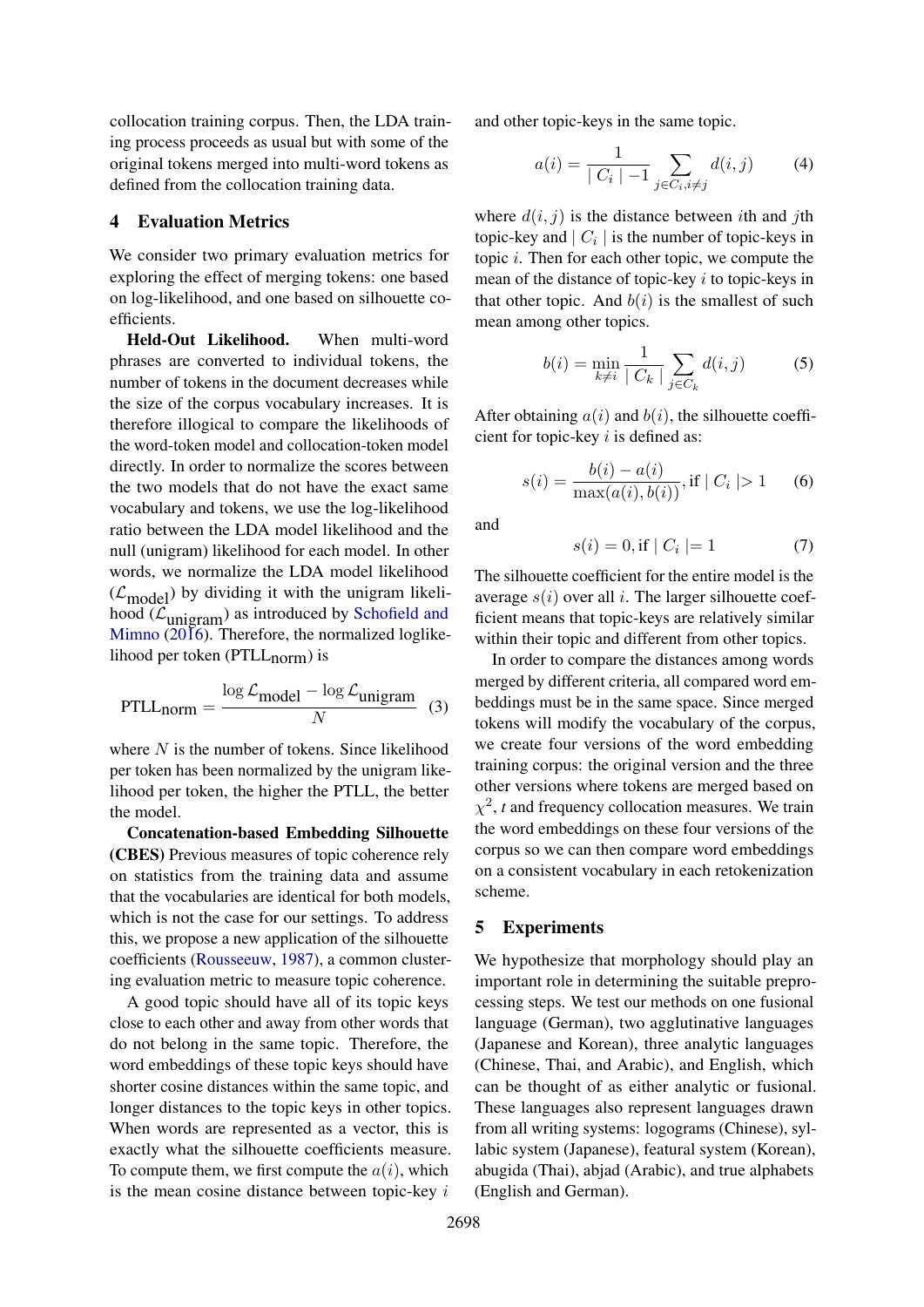collocation training corpus. Then, the LDA training process proceeds as usual but with some of the original tokens merged into multi-word tokens as defined from the collocation training data.

#### <span id="page-2-0"></span>4 Evaluation Metrics

We consider two primary evaluation metrics for exploring the effect of merging tokens: one based on log-likelihood, and one based on silhouette coefficients.

Held-Out Likelihood. When multi-word phrases are converted to individual tokens, the number of tokens in the document decreases while the size of the corpus vocabulary increases. It is therefore illogical to compare the likelihoods of the word-token model and collocation-token model directly. In order to normalize the scores between the two models that do not have the exact same vocabulary and tokens, we use the log-likelihood ratio between the LDA model likelihood and the null (unigram) likelihood for each model. In other words, we normalize the LDA model likelihood  $(\mathcal{L}_{model})$  by dividing it with the unigram likelihood  $(\mathcal{L}_{\text{unigram}})$  as introduced by [Schofield and](#page-8-0) [Mimno](#page-8-0) [\(2016\)](#page-8-0). Therefore, the normalized loglikelihood per token (PTLL<sub>norm</sub>) is

$$
PTLL_{norm} = \frac{\log \mathcal{L}_{model} - \log \mathcal{L}_{unigram}}{N} \quad (3)
$$

where  $N$  is the number of tokens. Since likelihood per token has been normalized by the unigram likelihood per token, the higher the PTLL, the better the model.

Concatenation-based Embedding Silhouette (CBES) Previous measures of topic coherence rely on statistics from the training data and assume that the vocabularies are identical for both models, which is not the case for our settings. To address this, we propose a new application of the silhouette coefficients [\(Rousseeuw,](#page-8-11) [1987\)](#page-8-11), a common clustering evaluation metric to measure topic coherence.

A good topic should have all of its topic keys close to each other and away from other words that do not belong in the same topic. Therefore, the word embeddings of these topic keys should have shorter cosine distances within the same topic, and longer distances to the topic keys in other topics. When words are represented as a vector, this is exactly what the silhouette coefficients measure. To compute them, we first compute the  $a(i)$ , which is the mean cosine distance between topic-key  $i$ 

and other topic-keys in the same topic.

$$
a(i) = \frac{1}{|C_i| - 1} \sum_{j \in C_i, i \neq j} d(i, j) \tag{4}
$$

where  $d(i, j)$  is the distance between ith and jth topic-key and  $|C_i|$  is the number of topic-keys in topic  $i$ . Then for each other topic, we compute the mean of the distance of topic-key  $i$  to topic-keys in that other topic. And  $b(i)$  is the smallest of such mean among other topics.

$$
b(i) = \min_{k \neq i} \frac{1}{|C_k|} \sum_{j \in C_k} d(i, j)
$$
 (5)

After obtaining  $a(i)$  and  $b(i)$ , the silhouette coefficient for topic-key  $i$  is defined as:

$$
s(i) = \frac{b(i) - a(i)}{\max(a(i), b(i))}, \text{if } |C_i| > 1 \qquad (6)
$$

and

$$
s(i) = 0, \text{if } |C_i| = 1 \tag{7}
$$

The silhouette coefficient for the entire model is the average  $s(i)$  over all i. The larger silhouette coefficient means that topic-keys are relatively similar within their topic and different from other topics.

In order to compare the distances among words merged by different criteria, all compared word embeddings must be in the same space. Since merged tokens will modify the vocabulary of the corpus, we create four versions of the word embedding training corpus: the original version and the three other versions where tokens are merged based on  $\chi^2$ , *t* and frequency collocation measures. We train the word embeddings on these four versions of the corpus so we can then compare word embeddings on a consistent vocabulary in each retokenization scheme.

### 5 Experiments

We hypothesize that morphology should play an important role in determining the suitable preprocessing steps. We test our methods on one fusional language (German), two agglutinative languages (Japanese and Korean), three analytic languages (Chinese, Thai, and Arabic), and English, which can be thought of as either analytic or fusional. These languages also represent languages drawn from all writing systems: logograms (Chinese), syllabic system (Japanese), featural system (Korean), abugida (Thai), abjad (Arabic), and true alphabets (English and German).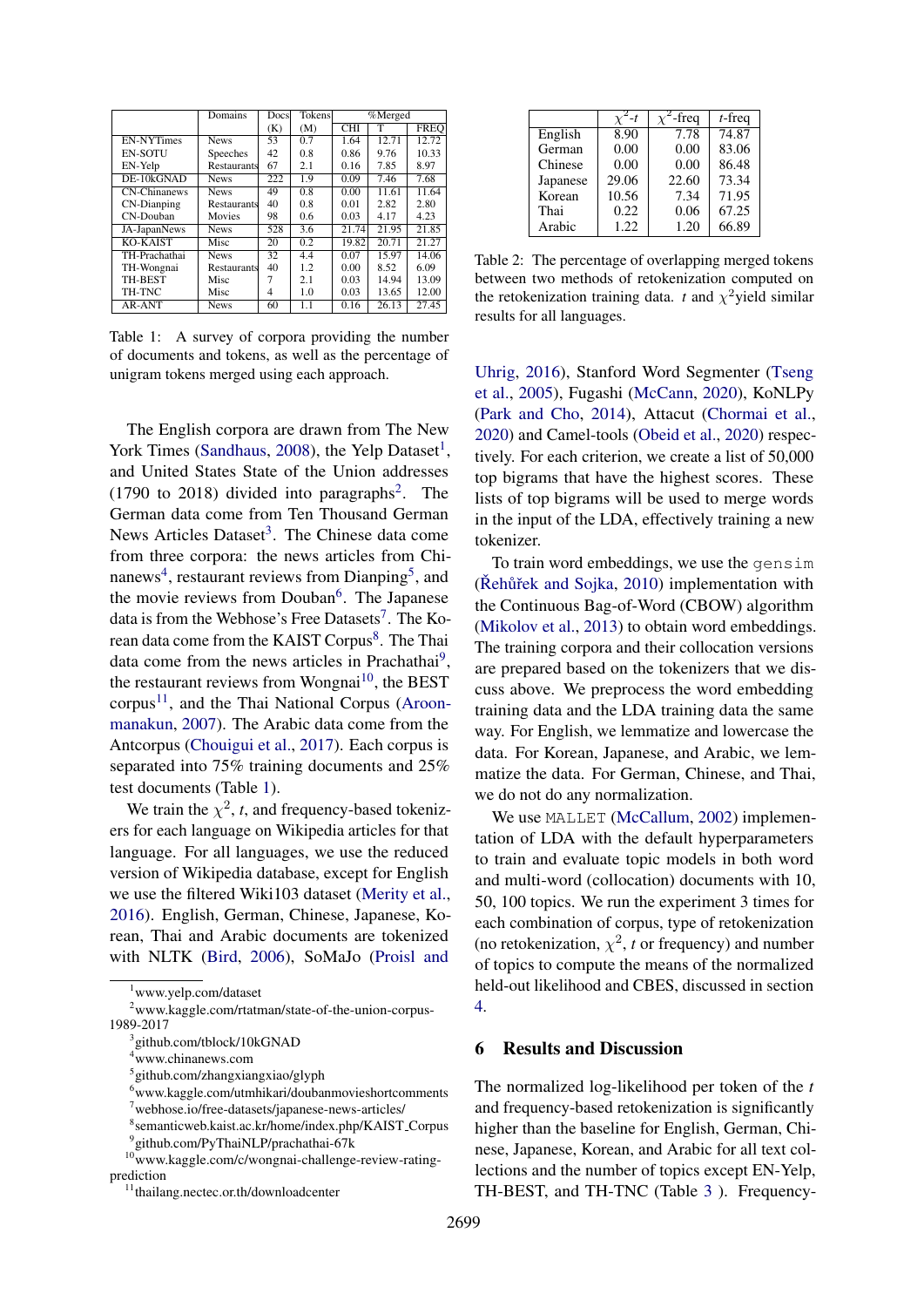<span id="page-3-11"></span>

|                   | <b>Domains</b> | Docsl | <b>Tokens</b> |                         | %Merged |             |  |
|-------------------|----------------|-------|---------------|-------------------------|---------|-------------|--|
|                   |                | (K)   | (M)           | $\overline{\text{CHI}}$ | т       | <b>FREO</b> |  |
| <b>EN-NYTimes</b> | <b>News</b>    | 53    | 0.7           | 1.64                    | 12.71   | 12.72       |  |
| <b>EN-SOTU</b>    | Speeches       | 42    | 0.8           | 0.86                    | 9.76    | 10.33       |  |
| EN-Yelp           | Restaurants    | 67    | 2.1           | 0.16                    | 7.85    | 8.97        |  |
| DE-10kGNAD        | <b>News</b>    | 222   | 1.9           | 0.09                    | 7.46    | 7.68        |  |
| CN-Chinanews      | <b>News</b>    | 49    | 0.8           | 0.00                    | 11.61   | 11.64       |  |
| CN-Dianping       | Restaurants    | 40    | 0.8           | 0.01                    | 2.82    | 2.80        |  |
| CN-Douban         | Movies         | 98    | 0.6           | 0.03                    | 4.17    | 4.23        |  |
| JA-JapanNews      | <b>News</b>    | 528   | 3.6           | 21.74                   | 21.95   | 21.85       |  |
| KO-KAIST          | Misc           | 20    | 0.2           | 19.82                   | 20.71   | 21.27       |  |
| TH-Prachathai     | <b>News</b>    | 32    | 4.4           | 0.07                    | 15.97   | 14.06       |  |
| TH-Wongnai        | Restaurants    | 40    | 1.2           | 0.00                    | 8.52    | 6.09        |  |
| TH-BEST           | Misc           |       | 2.1           | 0.03                    | 14.94   | 13.09       |  |
| TH-TNC            | Misc           | 4     | 1.0           | 0.03                    | 13.65   | 12.00       |  |
| AR-ANT            | <b>News</b>    | 60    | 1.1           | 0.16                    | 26.13   | 27.45       |  |

Table 1: A survey of corpora providing the number of documents and tokens, as well as the percentage of unigram tokens merged using each approach.

The English corpora are drawn from The New York Times [\(Sandhaus,](#page-8-12) [2008\)](#page-8-12), the Yelp Dataset<sup>[1](#page-3-0)</sup>, and United States State of the Union addresses  $(1790 \text{ to } 2018)$  $(1790 \text{ to } 2018)$  $(1790 \text{ to } 2018)$  divided into paragraphs<sup>2</sup>. The German data come from Ten Thousand German News Articles Dataset<sup>[3](#page-3-2)</sup>. The Chinese data come from three corpora: the news articles from Chi-nanews<sup>[4](#page-3-3)</sup>, restaurant reviews from Dianping<sup>[5](#page-3-4)</sup>, and the movie reviews from Douban<sup>[6](#page-3-5)</sup>. The Japanese data is from the Webhose's Free Datasets<sup>[7](#page-3-6)</sup>. The Ko-rean data come from the KAIST Corpus<sup>[8](#page-3-7)</sup>. The Thai data come from the news articles in Prachathai<sup>[9](#page-3-8)</sup>, the restaurant reviews from Wongnai<sup>[10](#page-3-9)</sup>, the BEST  $corpus<sup>11</sup>$  $corpus<sup>11</sup>$  $corpus<sup>11</sup>$ , and the Thai National Corpus [\(Aroon](#page-7-5)[manakun,](#page-7-5) [2007\)](#page-7-5). The Arabic data come from the Antcorpus [\(Chouigui et al.,](#page-7-6) [2017\)](#page-7-6). Each corpus is separated into 75% training documents and 25% test documents (Table [1\)](#page-3-11).

We train the  $\chi^2$ , *t*, and frequency-based tokenizers for each language on Wikipedia articles for that language. For all languages, we use the reduced version of Wikipedia database, except for English we use the filtered Wiki103 dataset [\(Merity et al.,](#page-8-13) [2016\)](#page-8-13). English, German, Chinese, Japanese, Korean, Thai and Arabic documents are tokenized with NLTK [\(Bird,](#page-7-7) [2006\)](#page-7-7), SoMaJo [\(Proisl and](#page-8-14)

|          |       | -freq | $t$ -freq |
|----------|-------|-------|-----------|
| English  | 8.90  | 7.78  | 74.87     |
| German   | 0.00  | 0.00  | 83.06     |
| Chinese  | 0.00  | 0.00  | 86.48     |
| Japanese | 29.06 | 22.60 | 73.34     |
| Korean   | 10.56 | 7.34  | 71.95     |
| Thai     | 0.22  | 0.06  | 67.25     |
| Arabic   | 1.22  | 1.20  | 66.89     |

Table 2: The percentage of overlapping merged tokens between two methods of retokenization computed on the retokenization training data. *t* and  $\chi^2$ yield similar results for all languages.

[Uhrig,](#page-8-14) [2016\)](#page-8-14), Stanford Word Segmenter [\(Tseng](#page-8-15) [et al.,](#page-8-15) [2005\)](#page-8-15), Fugashi [\(McCann,](#page-8-16) [2020\)](#page-8-16), KoNLPy [\(Park and Cho,](#page-8-17) [2014\)](#page-8-17), Attacut [\(Chormai et al.,](#page-7-8) [2020\)](#page-7-8) and Camel-tools [\(Obeid et al.,](#page-8-18) [2020\)](#page-8-18) respectively. For each criterion, we create a list of 50,000 top bigrams that have the highest scores. These lists of top bigrams will be used to merge words in the input of the LDA, effectively training a new tokenizer.

To train word embeddings, we use the gensim  $(Rehuřek and Sojka, 2010)$  $(Rehuřek and Sojka, 2010)$  implementation with the Continuous Bag-of-Word (CBOW) algorithm [\(Mikolov et al.,](#page-8-20) [2013\)](#page-8-20) to obtain word embeddings. The training corpora and their collocation versions are prepared based on the tokenizers that we discuss above. We preprocess the word embedding training data and the LDA training data the same way. For English, we lemmatize and lowercase the data. For Korean, Japanese, and Arabic, we lemmatize the data. For German, Chinese, and Thai, we do not do any normalization.

We use MALLET [\(McCallum,](#page-8-21) [2002\)](#page-8-21) implementation of LDA with the default hyperparameters to train and evaluate topic models in both word and multi-word (collocation) documents with 10, 50, 100 topics. We run the experiment 3 times for each combination of corpus, type of retokenization (no retokenization,  $\chi^2$ , *t* or frequency) and number of topics to compute the means of the normalized held-out likelihood and CBES, discussed in section [4.](#page-2-0)

#### 6 Results and Discussion

The normalized log-likelihood per token of the *t* and frequency-based retokenization is significantly higher than the baseline for English, German, Chinese, Japanese, Korean, and Arabic for all text collections and the number of topics except EN-Yelp, TH-BEST, and TH-TNC (Table [3](#page-4-0) ). Frequency-

<span id="page-3-1"></span><span id="page-3-0"></span><sup>1</sup>[www.yelp.com/dataset](#page-8-14)

<sup>2</sup>[www.kaggle.com/rtatman/state-of-the-union-corpus-](#page-8-14)[1989-2017](#page-8-14)

<span id="page-3-2"></span><sup>3</sup> [github.com/tblock/10kGNAD](#page-8-14)

<span id="page-3-3"></span><sup>4</sup>[www.chinanews.com](#page-8-14)

<span id="page-3-4"></span><sup>5</sup> [github.com/zhangxiangxiao/glyph](#page-8-14)

<span id="page-3-5"></span> $6$ [www.kaggle.com/utmhikari/doubanmovieshortcomments](#page-8-14)

<span id="page-3-6"></span><sup>7</sup>[webhose.io/free-datasets/japanese-news-articles/](#page-8-14)

<span id="page-3-8"></span><span id="page-3-7"></span><sup>8</sup> [semanticweb.kaist.ac.kr/home/index.php/KAIST](#page-8-14) Corpus 9 [github.com/PyThaiNLP/prachathai-67k](#page-8-14)

<span id="page-3-9"></span><sup>10</sup>[www.kaggle.com/c/wongnai-challenge-review-rating](#page-8-14)[prediction](#page-8-14)

<span id="page-3-10"></span><sup>11</sup>[thailang.nectec.or.th/downloadcenter](#page-8-14)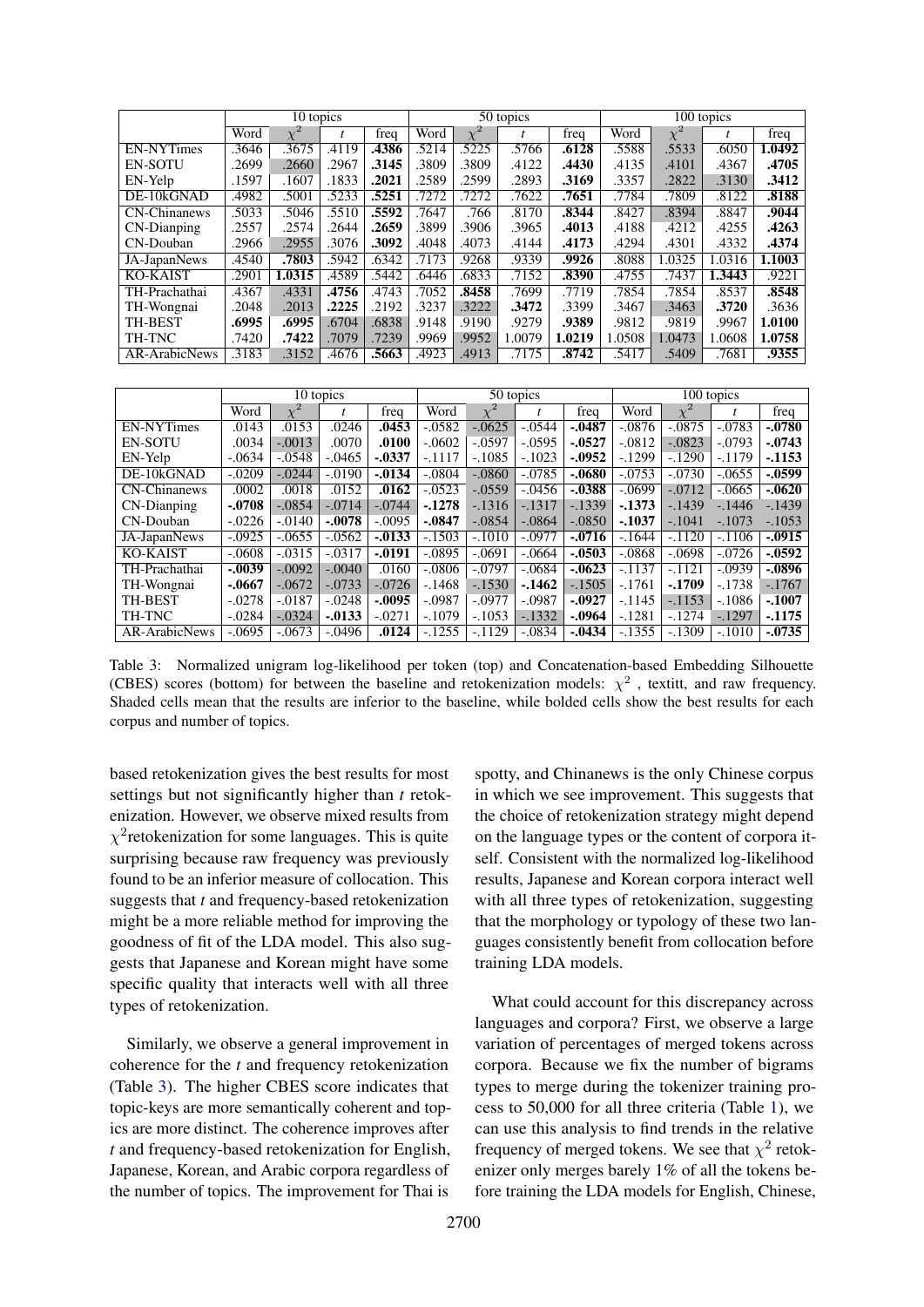<span id="page-4-0"></span>

|                     | 10 topics |          |       |       | 50 topics |          |        |        | 100 topics |          |        |        |
|---------------------|-----------|----------|-------|-------|-----------|----------|--------|--------|------------|----------|--------|--------|
|                     | Word      | $\chi^2$ | t     | freq  | Word      | $\chi^2$ |        | freq   | Word       | $\chi^2$ |        | freq   |
| <b>EN-NYTimes</b>   | .3646     | .3675    | .4119 | .4386 | .5214     | .5225    | .5766  | .6128  | .5588      | .5533    | .6050  | 1.0492 |
| <b>EN-SOTU</b>      | .2699     | .2660    | .2967 | .3145 | .3809     | .3809    | .4122  | .4430  | .4135      | .4101    | .4367  | .4705  |
| EN-Yelp             | .1597     | .1607    | .1833 | .2021 | .2589     | .2599    | .2893  | .3169  | .3357      | .2822    | .3130  | .3412  |
| DE-10kGNAD          | .4982     | .5001    | .5233 | .5251 | .7272     | .7272    | .7622  | .7651  | .7784      | .7809    | .8122  | .8188  |
| <b>CN-Chinanews</b> | .5033     | .5046    | .5510 | .5592 | .7647     | .766     | .8170  | .8344  | .8427      | .8394    | .8847  | .9044  |
| CN-Dianping         | .2557     | .2574    | .2644 | .2659 | .3899     | .3906    | .3965  | .4013  | .4188      | .4212    | .4255  | .4263  |
| CN-Douban           | .2966     | .2955    | .3076 | .3092 | .4048     | .4073    | .4144  | .4173  | .4294      | .4301    | .4332  | .4374  |
| JA-JapanNews        | .4540     | .7803    | .5942 | .6342 | .7173     | .9268    | .9339  | .9926  | .8088      | 1.0325   | 1.0316 | 1.1003 |
| <b>KO-KAIST</b>     | .2901     | 1.0315   | .4589 | .5442 | .6446     | .6833    | .7152  | .8390  | .4755      | .7437    | 1.3443 | .9221  |
| TH-Prachathai       | .4367     | .4331    | .4756 | .4743 | .7052     | .8458    | .7699  | .7719  | .7854      | .7854    | .8537  | .8548  |
| TH-Wongnai          | .2048     | .2013    | .2225 | .2192 | .3237     | .3222    | .3472  | .3399  | .3467      | .3463    | .3720  | .3636  |
| <b>TH-BEST</b>      | .6995     | .6995    | .6704 | .6838 | .9148     | .9190    | .9279  | .9389  | .9812      | .9819    | .9967  | 1.0100 |
| TH-TNC              | .7420     | .7422    | .7079 | .7239 | .9969     | .9952    | 1.0079 | 1.0219 | 1.0508     | 1.0473   | 1.0608 | 1.0758 |
| AR-ArabicNews       | .3183     | .3152    | .4676 | .5663 | .4923     | .4913    | .7175  | .8742  | .5417      | .5409    | .7681  | .9355  |

|                                   | 10 topics |           |           |           | 50 topics |          |          |           | 100 topics |          |          |           |
|-----------------------------------|-----------|-----------|-----------|-----------|-----------|----------|----------|-----------|------------|----------|----------|-----------|
|                                   | Word      | $\chi^2$  |           | freq      | Word      | $\chi^2$ | t        | freq      | Word       | $\chi^2$ |          | freq      |
| <b>EN-NYTimes</b>                 | .0143     | .0153     | .0246     | .0453     | $-0.0582$ | $-.0625$ | $-.0544$ | $-0.0487$ | $-.0876$   | $-.0875$ | $-.0783$ | $-0780$   |
| <b>EN-SOTU</b>                    | .0034     | $-.0013$  | .0070     | .0100     | $-.0602$  | $-.0597$ | $-.0595$ | $-0.0527$ | $-.0812$   | $-.0823$ | $-.0793$ | $-0743$   |
| EN-Yelp                           | $-.0634$  | $-.0548$  | $-.0465$  | $-0.0337$ | $-.1117$  | $-.1085$ | $-.1023$ | $-.0952$  | $-.1299$   | $-.1290$ | $-1179$  | $-1153$   |
| DE-10kGNAD                        | $-.0209$  | $-.0244$  | $-.0190$  | $-0.0134$ | $-.0804$  | $-.0860$ | $-.0785$ | $-0680$   | $-.0753$   | $-.0730$ | $-.0655$ | $-.0599$  |
| $\overline{\text{CN}}$ -Chinanews | .0002     | .0018     | .0152     | .0162     | $-0.0523$ | $-.0559$ | $-.0456$ | $-0.0388$ | $-.0699$   | $-.0712$ | $-.0665$ | $-0620$   |
| CN-Dianping                       | $-.0708$  | $-.0854$  | $-.0714$  | $-.0744$  | $-1278$   | $-1316$  | $-.1317$ | $-.1339$  | $-1373$    | $-1439$  | $-1446$  | $-1439$   |
| CN-Douban                         | $-.0226$  | $-.0140$  | $-.0078$  | $-.0095$  | $-.0847$  | $-.0854$ | $-.0864$ | $-.0850$  | $-.1037$   | $-.1041$ | $-.1073$ | $-.1053$  |
| JA-JapanNews                      | $-.0925$  | $-0.0655$ | $-.0562$  | $-0.0133$ | $-.1503$  | $-.1010$ | $-.0977$ | $-0716$   | $-.1644$   | $-.1120$ | $-.1106$ | $-0.0915$ |
| <b>KO-KAIST</b>                   | $-.0608$  | $-0.0315$ | $-.0317$  | $-0.0191$ | $-.0895$  | $-.0691$ | $-.0664$ | $-.0503$  | $-.0868$   | $-.0698$ | $-.0726$ | $-0.0592$ |
| TH-Prachathai                     | $-.0039$  | $-.0092$  | $-.0040$  | .0160     | $-.0806$  | $-.0797$ | $-.0684$ | $-0.0623$ | $-.1137$   | $-.1121$ | $-.0939$ | $-0.0896$ |
| TH-Wongnai                        | $-.0667$  | $-.0672$  | $-.0733$  | $-.0726$  | $-.1468$  | $-.1530$ | $-1462$  | $-.1505$  | $-.1761$   | $-.1709$ | $-.1738$ | $-.1767$  |
| <b>TH-BEST</b>                    | $-.0278$  | $-.0187$  | $-.0248$  | $-.0095$  | $-.0987$  | $-.0977$ | $-.0987$ | $-.0927$  | $-.1145$   | $-1153$  | $-.1086$ | $-.1007$  |
| TH-TNC                            | $-.0284$  | $-.0324$  | $-0.0133$ | $-.0271$  | $-.1079$  | $-.1053$ | $-.1332$ | $-.0964$  | $-.1281$   | $-1274$  | $-.1297$ | $-1175$   |
| <b>AR-ArabicNews</b>              | $-.0695$  | $-.0673$  | $-.0496$  | .0124     | $-1255$   | $-.1129$ | $-.0834$ | $-0.0434$ | $-.1355$   | $-.1309$ | $-.1010$ | $-0.0735$ |

Table 3: Normalized unigram log-likelihood per token (top) and Concatenation-based Embedding Silhouette (CBES) scores (bottom) for between the baseline and retokenization models:  $\chi^2$ , textitt, and raw frequency. Shaded cells mean that the results are inferior to the baseline, while bolded cells show the best results for each corpus and number of topics.

based retokenization gives the best results for most settings but not significantly higher than *t* retokenization. However, we observe mixed results from  $\chi^2$ retokenization for some languages. This is quite surprising because raw frequency was previously found to be an inferior measure of collocation. This suggests that *t* and frequency-based retokenization might be a more reliable method for improving the goodness of fit of the LDA model. This also suggests that Japanese and Korean might have some specific quality that interacts well with all three types of retokenization.

Similarly, we observe a general improvement in coherence for the *t* and frequency retokenization (Table [3\)](#page-4-0). The higher CBES score indicates that topic-keys are more semantically coherent and topics are more distinct. The coherence improves after *t* and frequency-based retokenization for English, Japanese, Korean, and Arabic corpora regardless of the number of topics. The improvement for Thai is

spotty, and Chinanews is the only Chinese corpus in which we see improvement. This suggests that the choice of retokenization strategy might depend on the language types or the content of corpora itself. Consistent with the normalized log-likelihood results, Japanese and Korean corpora interact well with all three types of retokenization, suggesting that the morphology or typology of these two languages consistently benefit from collocation before training LDA models.

What could account for this discrepancy across languages and corpora? First, we observe a large variation of percentages of merged tokens across corpora. Because we fix the number of bigrams types to merge during the tokenizer training process to 50,000 for all three criteria (Table [1\)](#page-3-11), we can use this analysis to find trends in the relative frequency of merged tokens. We see that  $\chi^2$  retokenizer only merges barely 1% of all the tokens before training the LDA models for English, Chinese,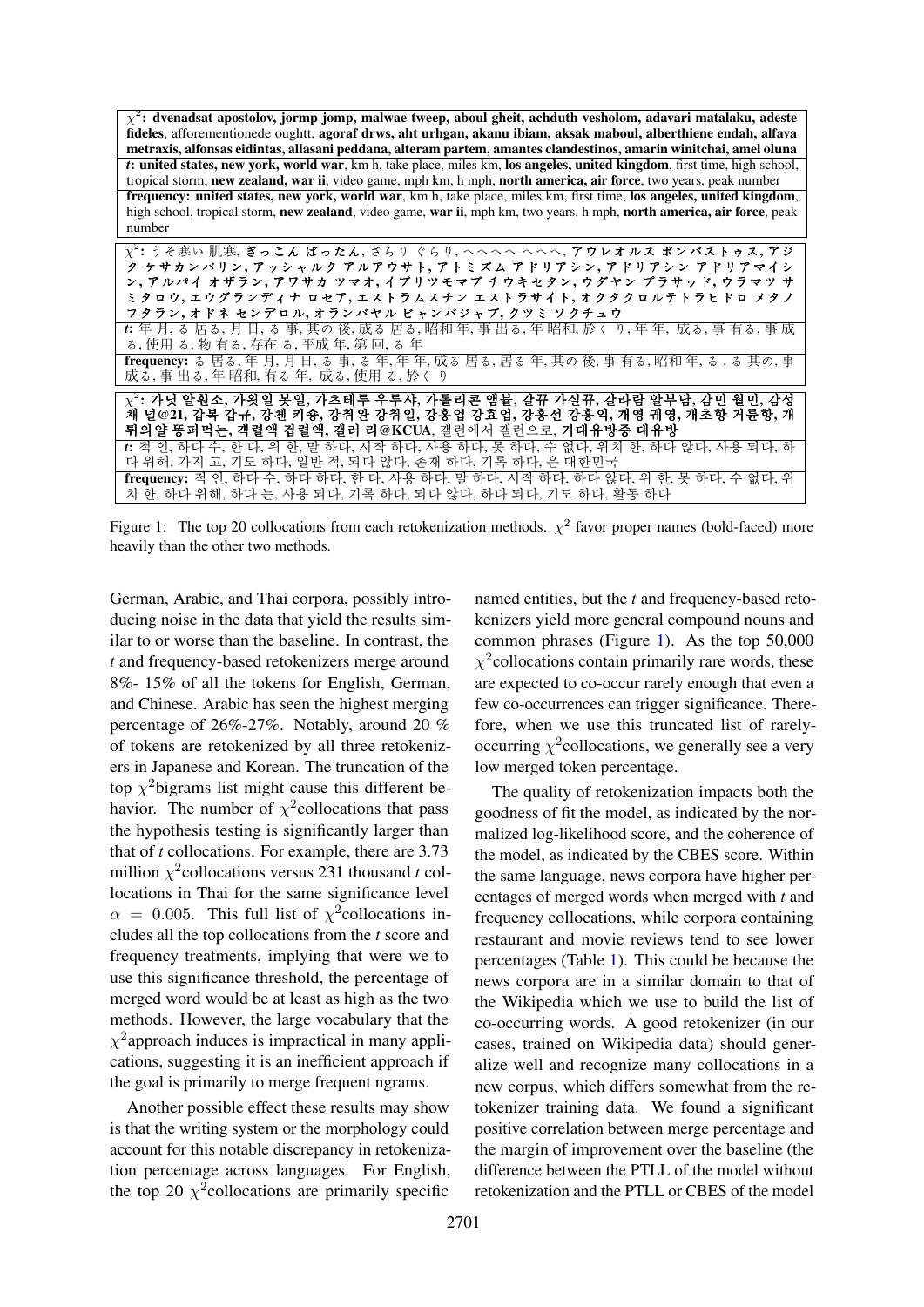<span id="page-5-0"></span> $\chi^2$ : dvenadsat apostolov, jormp jomp, malwae tweep, aboul gheit, achduth vesholom, adavari matalaku, adeste fideles, afforementionede oughtt, agoraf drws, aht urhgan, akanu ibiam, aksak maboul, alberthiene endah, alfava metraxis, alfonsas eidintas, allasani peddana, alteram partem, amantes clandestinos, amarin winitchai, amel oluna *t*: united states, new york, world war, km h, take place, miles km, los angeles, united kingdom, first time, high school, tropical storm, new zealand, war ii, video game, mph km, h mph, north america, air force, two years, peak number frequency: united states, new york, world war, km h, take place, miles km, first time, los angeles, united kingdom, high school, tropical storm, new zealand, video game, war ii, mph km, two years, h mph, north america, air force, peak number χ 2 : うそ寒い 肌寒, ぎっこん ばったん, ざらり ぐらり, へへへへ へへへ, アウレオルス ボンバストゥス, アジ

| χ: ウ ぐ巷い 肌歩, さっこん はったん, さらり ぐらり, へへへへ へへへ, 丿リレオルス ホンハストウス, 丿ン                          |
|----------------------------------------------------------------------------------------|
| タ ケサカンバリン,アッシャルク アルアウサト,アトミズム アドリアシン,アドリアシン アドリアマイシ                                    |
| ン, アルパイ オザラン, アワサカ ツマオ, イブリツモマブ チウキセタン, ウダヤン プラサッド, ウラマツ サ                             |
| ミタロウ, エウグランディナ ロセア, エストラムスチン エストラサイト, オクタクロルテトラヒドロ メタノ                                 |
| フタラン,オドネ センデロル,オランバヤル ビャンバジャブ,クツミ ソクチュウ                                                |
| #年 月,る 居る, 月 日, る 事, 其の 後, 成る 居る, 昭和 年, 事 出る, 年 昭和, 於く り, 年 年, 成る, 事 有る, 事 成           |
| る, 使用 る, 物 有る, 存在 る, 平成 年, 第 回, る 年                                                    |
| frequency: る 居る, 年 月, 月 日, る 事, る 年, 年 年, 成る 居る, 居る 年, 其の 後, 事 有る, 昭和 年, る, る 其の, 事    |
| 成る, 事 出る, 年 昭和, 有る 年, 成る, 使用 る, 於く り                                                   |
|                                                                                        |
| $\chi^2$ : 가닛 알훤소, 가욋일 봇일, 가츠테루 우루샤, 가톨리콘 앰뷸, 갈뀨 가실뀨, 갈라람 알부담, 감민 월민, 감성               |
| 채 널@21, 갑복 갑규, 강첸 키숑, 강취완 강취일, 강홍업 강효업, 강홍선 강흥익, 개영 궤영, 개초항 거륜항, 개                     |
| 튀의얄 똥퍼먹는, 객렬액 겁렬액, 갤러 리@KCUA, 갤런에서 갤런으로, 거대유방증 대유방                                     |
| t: 적 인, 하다 수, 한 다, 위 한, 말 하다, 시작 하다, 사용 하다, 못 하다, 수 없다, 위치 한, 하다 않다, 사용 되다, 하          |
| 다 위해, 가지 고, 기도 하다, 일반 적, 되다 않다, 존재 하다, 기록 하다, 은 대한민국                                   |
| <b>frequency:</b> 적 인, 하다 수, 하다 하다, 한 다, 사용 하다, 말 하다, 시작 하다, 하다 않다, 위 한, 못 하다, 수 없다, 위 |
| 치 한, 하다 위해, 하다 는, 사용 되다, 기록 하다, 되다 않다, 하다 되다, 기도 하다, 활동 하다                             |

Figure 1: The top 20 collocations from each retokenization methods.  $\chi^2$  favor proper names (bold-faced) more heavily than the other two methods.

German, Arabic, and Thai corpora, possibly introducing noise in the data that yield the results similar to or worse than the baseline. In contrast, the *t* and frequency-based retokenizers merge around 8%- 15% of all the tokens for English, German, and Chinese. Arabic has seen the highest merging percentage of 26%-27%. Notably, around 20 % of tokens are retokenized by all three retokenizers in Japanese and Korean. The truncation of the top  $\chi^2$ bigrams list might cause this different behavior. The number of  $\chi^2$  collocations that pass the hypothesis testing is significantly larger than that of *t* collocations. For example, there are 3.73 million  $\chi^2$  collocations versus 231 thousand *t* collocations in Thai for the same significance level  $\alpha = 0.005$ . This full list of  $\chi^2$ collocations includes all the top collocations from the *t* score and frequency treatments, implying that were we to use this significance threshold, the percentage of merged word would be at least as high as the two methods. However, the large vocabulary that the  $\chi^2$ approach induces is impractical in many applications, suggesting it is an inefficient approach if the goal is primarily to merge frequent ngrams.

Another possible effect these results may show is that the writing system or the morphology could account for this notable discrepancy in retokenization percentage across languages. For English, the top 20  $\chi^2$  collocations are primarily specific

named entities, but the *t* and frequency-based retokenizers yield more general compound nouns and common phrases (Figure [1\)](#page-5-0). As the top 50,000  $\chi^2$ collocations contain primarily rare words, these are expected to co-occur rarely enough that even a few co-occurrences can trigger significance. Therefore, when we use this truncated list of rarelyoccurring  $\chi^2$ collocations, we generally see a very low merged token percentage.

The quality of retokenization impacts both the goodness of fit the model, as indicated by the normalized log-likelihood score, and the coherence of the model, as indicated by the CBES score. Within the same language, news corpora have higher percentages of merged words when merged with *t* and frequency collocations, while corpora containing restaurant and movie reviews tend to see lower percentages (Table [1\)](#page-3-11). This could be because the news corpora are in a similar domain to that of the Wikipedia which we use to build the list of co-occurring words. A good retokenizer (in our cases, trained on Wikipedia data) should generalize well and recognize many collocations in a new corpus, which differs somewhat from the retokenizer training data. We found a significant positive correlation between merge percentage and the margin of improvement over the baseline (the difference between the PTLL of the model without retokenization and the PTLL or CBES of the model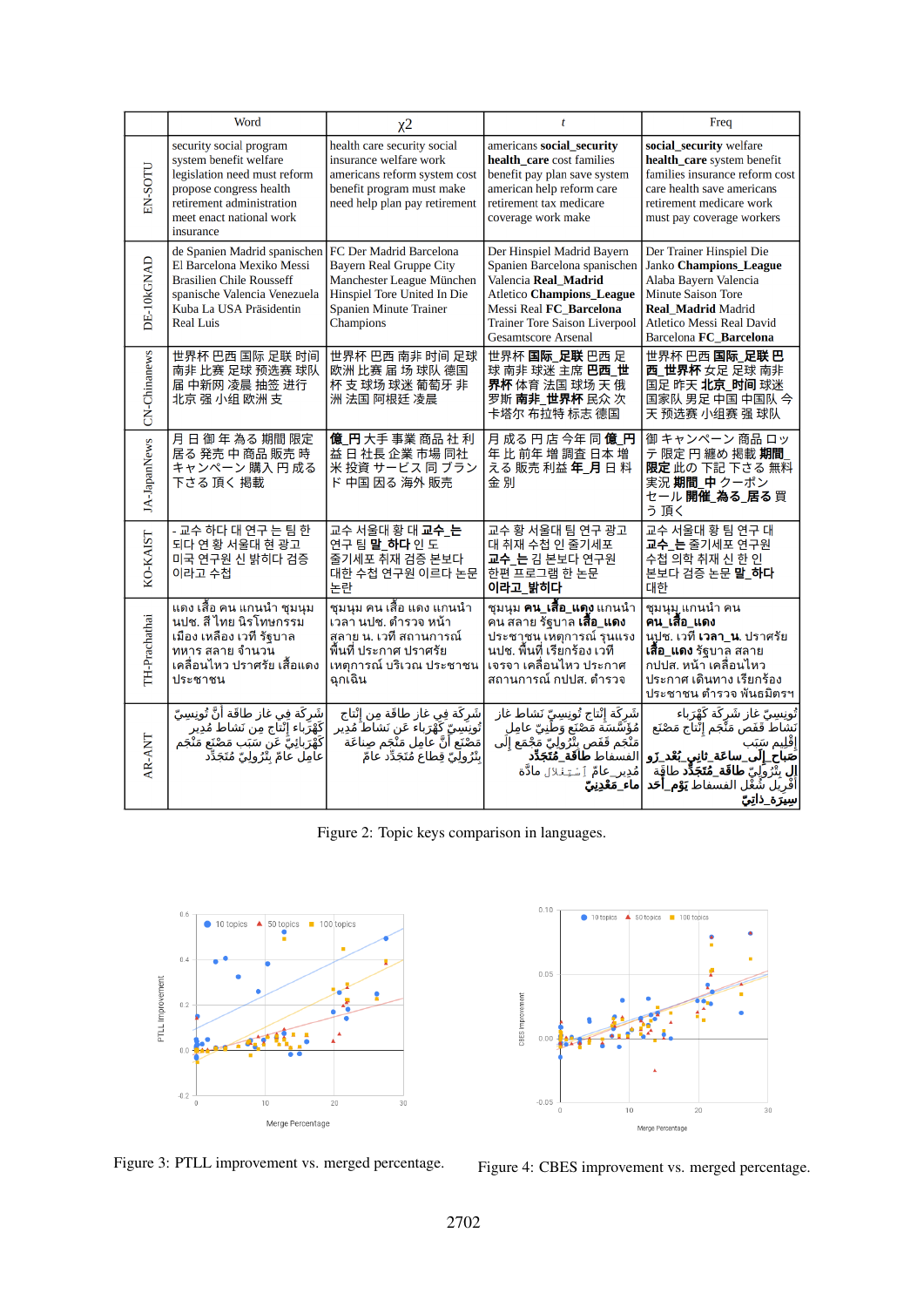|               | Word                                                                                                                                                                                   | $x^2$                                                                                                                                                         | $\mathbf{t}$                                                                                                                                                                                                            | Freq                                                                                                                                                                                                                                                                         |
|---------------|----------------------------------------------------------------------------------------------------------------------------------------------------------------------------------------|---------------------------------------------------------------------------------------------------------------------------------------------------------------|-------------------------------------------------------------------------------------------------------------------------------------------------------------------------------------------------------------------------|------------------------------------------------------------------------------------------------------------------------------------------------------------------------------------------------------------------------------------------------------------------------------|
| EN-SOTU       | security social program<br>system benefit welfare<br>legislation need must reform<br>propose congress health<br>retirement administration<br>meet enact national work<br>insurance     | health care security social<br>insurance welfare work<br>americans reform system cost<br>benefit program must make<br>need help plan pay retirement           | americans social security<br>health_care cost families<br>benefit pay plan save system<br>american help reform care<br>retirement tax medicare<br>coverage work make                                                    | social_security welfare<br>health_care system benefit<br>families insurance reform cost<br>care health save americans<br>retirement medicare work<br>must pay coverage workers                                                                                               |
| DE-10kGNAD    | de Spanien Madrid spanischen<br>El Barcelona Mexiko Messi<br><b>Brasilien Chile Rousseff</b><br>spanische Valencia Venezuela<br>Kuba La USA Präsidentin<br><b>Real Luis</b>            | FC Der Madrid Barcelona<br><b>Bayern Real Gruppe City</b><br>Manchester League München<br>Hinspiel Tore United In Die<br>Spanien Minute Trainer<br>Champions  | Der Hinspiel Madrid Bayern<br>Spanien Barcelona spanischen<br>Valencia Real Madrid<br><b>Atletico Champions_League</b><br>Messi Real FC_Barcelona<br><b>Trainer Tore Saison Liverpool</b><br><b>Gesamtscore Arsenal</b> | Der Trainer Hinspiel Die<br>Janko Champions_League<br>Alaba Bayern Valencia<br><b>Minute Saison Tore</b><br><b>Real Madrid Madrid</b><br><b>Atletico Messi Real David</b><br>Barcelona FC Barcelona                                                                          |
| CN-Chinanews  | 世界杯 巴西 国际 足联 时间<br>南非 比赛 足球 预选赛 球队<br>届 中新网 凌晨 抽签 进行<br>北京 强 小组 欧洲 支                                                                                                                   | 世界杯 巴西 南非 时间 足球<br>欧洲 比赛 届 场 球队 德国<br>杯 支 球场 球迷 葡萄牙 非<br>洲 法国 阿根廷 凌晨                                                                                          | 世界杯 国际_足联 巴西足<br>球南非球迷主席巴西_世<br>界杯 体育 法国 球场 天 俄<br>罗斯 <b>南非_世界杯</b> 民众 次<br>卡塔尔 布拉特 标志 德国                                                                                                                               | 世界杯 巴西 国际_足联 巴<br>西_世界杯 女足 足球 南非<br>国足 昨天 北京_时间 球迷<br>国家队 男足 中国 中国队 今<br>天 预选赛 小组赛 强 球队                                                                                                                                                                                      |
| JA-JapanNews  | 月日 御 年 為る 期間 限定<br>居る 発売 中 商品 販売 時<br>キャンペーン 購入 円 成る<br>下さる 頂く 掲載                                                                                                                      | 億 円 大手 事業 商品 社 利<br>益日社長企業市場同社<br>米 投資 サービス 同 ブラン<br>ド 中国 因る 海外 販売                                                                                            | 月成る円店今年同億F<br>年比前年増調査日本増<br>える 販売 利益 年_月 日 料<br>金別                                                                                                                                                                      | 御 キャンペーン 商品 ロッ<br>テ 限定 円 纏め 掲載 期間<br>限定 此の 下記 下さる 無料<br>実況期間 中クーポン<br>セール 開催 為る_居る 買<br>う頂く                                                                                                                                                                                  |
| KO-KAIST      | - 교수 하다 대 연구 는 팀 한<br>되다 연 황 서울대 현 광고<br>미국 연구원 신 밝히다 검증<br>이라고 수첩                                                                                                                     | 교수 서울대 황 대 교수 는<br>연구팀말 하다인도<br>줄기세포 쥐재 검증 본보다<br>대한 수첩 연구원 이르다 논문<br>논란                                                                                      | 교수 황 서울대 팀 연구 광고<br>대 취재 수첩 인 줄기세포<br>교수_는 김 본보다 연구원<br>한편 프로그램 한 논문<br>이라고_밝히다                                                                                                                                         | 교수 서울대 황 팀 연구 대<br>교수 는 줄기세포 연구원<br>수첩 의학 취재 신 한 인<br>본보다 검증 논문 말_하다<br>대한                                                                                                                                                                                                   |
| TH-Prachathai | แดง เสื้อ คน แกนนำ ชุมนุม<br>็นปช. สี ไทย นิรโทษกรรม<br>เมือง เหลือง เวที รัฐบาล<br>ทหาร สลาย จำนวน<br>เคลื่อนไหว ปราศรัย เสื้อแดง<br>ประชาชน                                          | ชุมนุม คน เสื้อ แดง แกนนำ<br>้เวลา นปช. ตำรวจ หน้า<br>ีสลาย น. เวที สถานการณ์<br>พื้นที่ ประกาศ ปราศรัย<br>้เหตุการณ์ บริเวณ ประชาชน<br>ฉุกเฉิน               | ้ชุมนุม <b>คน_เสื้อ_แดง</b> แกนนำ<br>คน สลาย รัฐบาล <b>เสื้อ_แดง</b><br>ประชาชน เหตุการณ์ รุนแรง<br>็นปช. พื้นที่ เรียกร้อง เวที<br>้เจรจา เคลื่อนไหว ประกาศ<br>ิสถานการณ์ กปปส. ตำรวจ                                  | ชุมนุมู แกนนำ คน<br>คน เสื้อ แดง<br>นปูช. เวที <b>เวลา_น</b> . ปราศรัย<br><b>เสื้อ_แดง</b> รัฐบาล สลาย<br>ึกปปส. หน้า เคลื่อนไหว<br>ประกาศ เดินทาง เรียกร้อง<br>ประชาชน ดำรวจ พันธมิตรฯ                                                                                      |
| AR-ANT        | شَركَة فِي غاز طاقَة أَنَّ تُونِسِيِّ<br>كَهْرَباء إنْتَاج مِن نَشاط مُدِير<br>كَهْرَب <sup>ا</sup> ئِيُّ عَن <sup>ّ</sup> سَبَّب مَصْنَع مَنْجَم<br>عامِل عامّ بِتْرُولِيّ مُتَجَدِّد | شَرِكَة فِي غاز طاقَة مِن إِنْتاج<br>تُونِنَبِينٍّ كَهْرَباءَ عَن نَشاطُ مُدِير<br>مَضْنَع أَنَّ عَامِل مَنْجَم صِناعَة<br>بِتْرُولِيّ قِطاعَ مُتَجَدِّد عامّ | شَركَة إِنْتاج تُونِسِيّ نَشاط غاز<br>مُؤَسَّسَة مَصْنَع وَطَنِيِّ عامِل<br>مَنْجَم قَفَص بِتْرُولِيّ مَجْمَع إِلَى<br>الفسفاط <b>طاَقَة_مُتَجَدِّد</b><br>مُدِير_عامٌ ٱِسْتِنْلال مادَّة<br>∣ماء_مَعْدِنِبِّ           | تُونِسِيِّ غاز شَرِكَة كَهْرَباء<br>نَشَاطَ قَفَصَ مَنَّجَم إِثْتاَج مَصْنَع<br>إقليم سَبَب<br>ضَباح_إِلَى_ساعَة_ثانِي_بُعْد_ <u>زَو</u><br><b>إِل</b> بِثَّرُوِّلِي <b>ّ طاقَة_مُتَجَدُّد</b> طاقَة<br>أَفْرِيَلَ شُغْل الفسفاط <b>تِوْم_أخد</b><br><u>سِيَرَة_ذاتِ</u> پِّ |

Figure 2: Topic keys comparison in languages.





Figure 3: PTLL improvement vs. merged percentage. Figure 4: CBES improvement vs. merged percentage.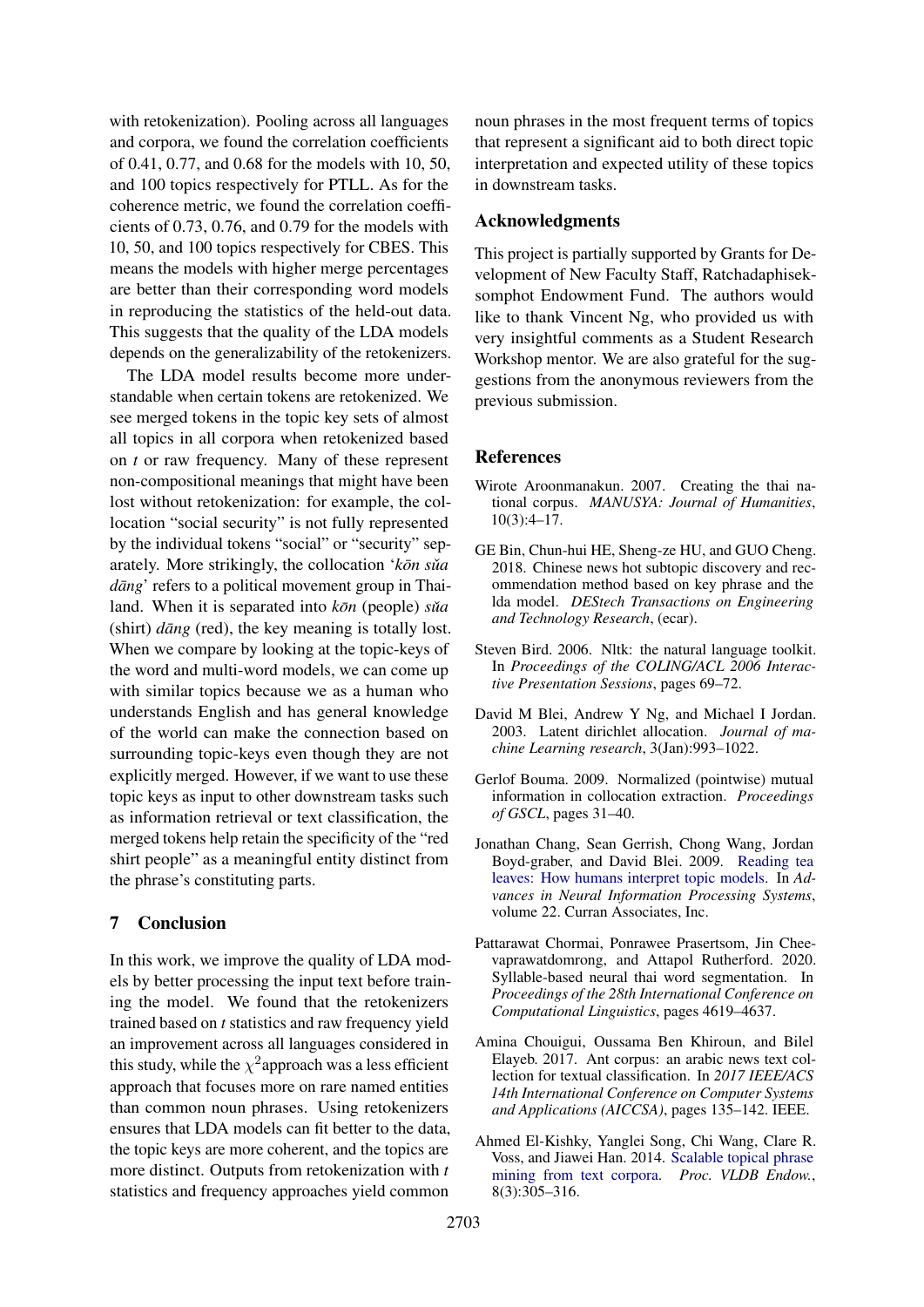with retokenization). Pooling across all languages and corpora, we found the correlation coefficients of 0.41, 0.77, and 0.68 for the models with 10, 50, and 100 topics respectively for PTLL. As for the coherence metric, we found the correlation coefficients of 0.73, 0.76, and 0.79 for the models with 10, 50, and 100 topics respectively for CBES. This means the models with higher merge percentages are better than their corresponding word models in reproducing the statistics of the held-out data. This suggests that the quality of the LDA models depends on the generalizability of the retokenizers.

The LDA model results become more understandable when certain tokens are retokenized. We see merged tokens in the topic key sets of almost all topics in all corpora when retokenized based on *t* or raw frequency. Many of these represent non-compositional meanings that might have been lost without retokenization: for example, the collocation "social security" is not fully represented by the individual tokens "social" or "security" separately. More strikingly, the collocation ' $k\bar{o}n s\tilde{u}a$ *dāng*' refers to a political movement group in Thailand. When it is separated into  $k\bar{\sigma}$ <sup>n</sup> (people) *sua*  $(\text{shirt}) \, \text{d}\bar{\text{a}}$  (red), the key meaning is totally lost. When we compare by looking at the topic-keys of the word and multi-word models, we can come up with similar topics because we as a human who understands English and has general knowledge of the world can make the connection based on surrounding topic-keys even though they are not explicitly merged. However, if we want to use these topic keys as input to other downstream tasks such as information retrieval or text classification, the merged tokens help retain the specificity of the "red shirt people" as a meaningful entity distinct from the phrase's constituting parts.

# 7 Conclusion

In this work, we improve the quality of LDA models by better processing the input text before training the model. We found that the retokenizers trained based on *t* statistics and raw frequency yield an improvement across all languages considered in this study, while the  $\chi^2$ approach was a less efficient approach that focuses more on rare named entities than common noun phrases. Using retokenizers ensures that LDA models can fit better to the data, the topic keys are more coherent, and the topics are more distinct. Outputs from retokenization with *t* statistics and frequency approaches yield common

noun phrases in the most frequent terms of topics that represent a significant aid to both direct topic interpretation and expected utility of these topics in downstream tasks.

### Acknowledgments

This project is partially supported by Grants for Development of New Faculty Staff, Ratchadaphiseksomphot Endowment Fund. The authors would like to thank Vincent Ng, who provided us with very insightful comments as a Student Research Workshop mentor. We are also grateful for the suggestions from the anonymous reviewers from the previous submission.

#### References

- <span id="page-7-5"></span>Wirote Aroonmanakun. 2007. Creating the thai national corpus. *MANUSYA: Journal of Humanities*, 10(3):4–17.
- <span id="page-7-2"></span>GE Bin, Chun-hui HE, Sheng-ze HU, and GUO Cheng. 2018. Chinese news hot subtopic discovery and recommendation method based on key phrase and the lda model. *DEStech Transactions on Engineering and Technology Research*, (ecar).
- <span id="page-7-7"></span>Steven Bird. 2006. Nltk: the natural language toolkit. In *Proceedings of the COLING/ACL 2006 Interactive Presentation Sessions*, pages 69–72.
- <span id="page-7-0"></span>David M Blei, Andrew Y Ng, and Michael I Jordan. 2003. Latent dirichlet allocation. *Journal of machine Learning research*, 3(Jan):993–1022.
- <span id="page-7-4"></span>Gerlof Bouma. 2009. Normalized (pointwise) mutual information in collocation extraction. *Proceedings of GSCL*, pages 31–40.
- <span id="page-7-3"></span>Jonathan Chang, Sean Gerrish, Chong Wang, Jordan Boyd-graber, and David Blei. 2009. [Reading tea](https://proceedings.neurips.cc/paper/2009/file/f92586a25bb3145facd64ab20fd554ff-Paper.pdf) [leaves: How humans interpret topic models.](https://proceedings.neurips.cc/paper/2009/file/f92586a25bb3145facd64ab20fd554ff-Paper.pdf) In *Advances in Neural Information Processing Systems*, volume 22. Curran Associates, Inc.
- <span id="page-7-8"></span>Pattarawat Chormai, Ponrawee Prasertsom, Jin Cheevaprawatdomrong, and Attapol Rutherford. 2020. Syllable-based neural thai word segmentation. In *Proceedings of the 28th International Conference on Computational Linguistics*, pages 4619–4637.
- <span id="page-7-6"></span>Amina Chouigui, Oussama Ben Khiroun, and Bilel Elayeb. 2017. Ant corpus: an arabic news text collection for textual classification. In *2017 IEEE/ACS 14th International Conference on Computer Systems and Applications (AICCSA)*, pages 135–142. IEEE.
- <span id="page-7-1"></span>Ahmed El-Kishky, Yanglei Song, Chi Wang, Clare R. Voss, and Jiawei Han. 2014. [Scalable topical phrase](https://doi.org/10.14778/2735508.2735519) [mining from text corpora.](https://doi.org/10.14778/2735508.2735519) *Proc. VLDB Endow.*, 8(3):305–316.